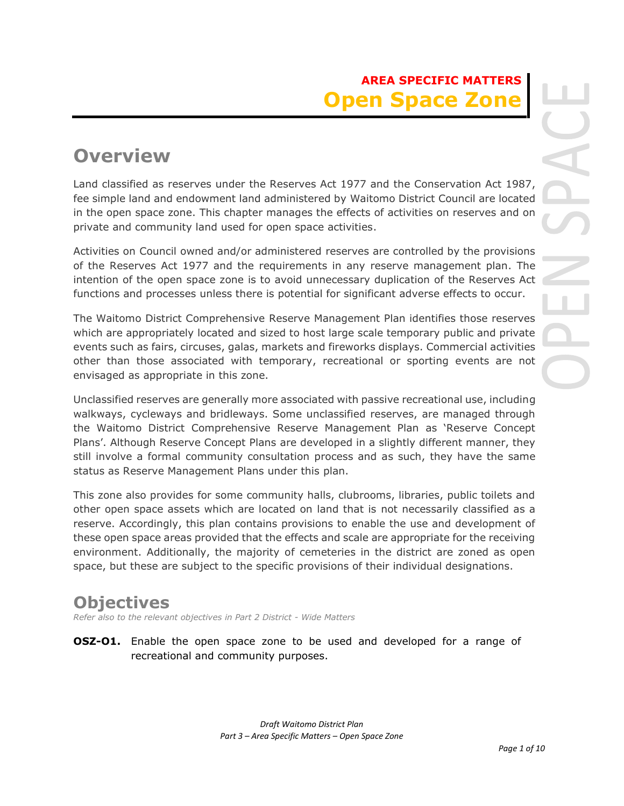# **AREA SPECIFIC MATTERS Open Space Zone**

# **Overview**

Land classified as reserves under the Reserves Act 1977 and the Conservation Act 1987, fee simple land and endowment land administered by Waitomo District Council are located in the open space zone. This chapter manages the effects of activities on reserves and on private and community land used for open space activities.

Activities on Council owned and/or administered reserves are controlled by the provisions of the Reserves Act 1977 and the requirements in any reserve management plan. The intention of the open space zone is to avoid unnecessary duplication of the Reserves Act functions and processes unless there is potential for significant adverse effects to occur.

The Waitomo District Comprehensive Reserve Management Plan identifies those reserves which are appropriately located and sized to host large scale temporary public and private events such as fairs, circuses, galas, markets and fireworks displays. Commercial activities other than those associated with temporary, recreational or sporting events are not envisaged as appropriate in this zone.

Unclassified reserves are generally more associated with passive recreational use, including walkways, cycleways and bridleways. Some unclassified reserves, are managed through the Waitomo District Comprehensive Reserve Management Plan as 'Reserve Concept Plans'. Although Reserve Concept Plans are developed in a slightly different manner, they still involve a formal community consultation process and as such, they have the same status as Reserve Management Plans under this plan.

This zone also provides for some community halls, clubrooms, libraries, public toilets and other open space assets which are located on land that is not necessarily classified as a reserve. Accordingly, this plan contains provisions to enable the use and development of these open space areas provided that the effects and scale are appropriate for the receiving environment. Additionally, the majority of cemeteries in the district are zoned as open space, but these are subject to the specific provisions of their individual designations.

# **Objectives**

*Refer also to the relevant objectives in Part 2 District - Wide Matters* 

**OSZ-O1.** Enable the open space zone to be used and developed for a range of recreational and community purposes.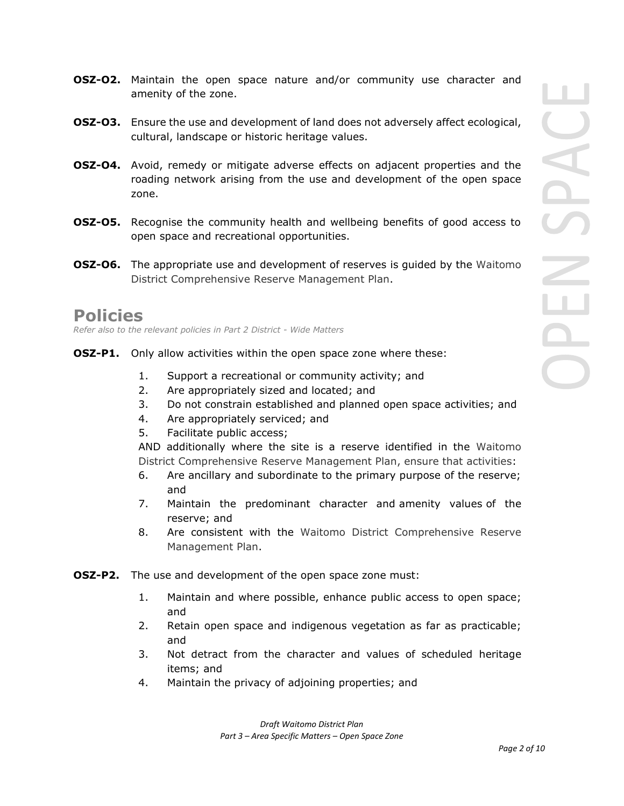- **OSZ-O2.** Maintain the open space nature and/or community use character and amenity of the zone.
- **OSZ-O3.** Ensure the use and development of land does not adversely affect ecological, cultural, landscape or historic heritage values.
- **OSZ-O4.** Avoid, remedy or mitigate adverse effects on adjacent properties and the roading network arising from the use and development of the open space zone.
- **OSZ-O5.** Recognise the community health and wellbeing benefits of good access to open space and recreational opportunities.
- **OSZ-O6.** The appropriate use and development of reserves is guided by the Waitomo District Comprehensive Reserve Management Plan.

# **Policies**

*Refer also to the relevant policies in Part 2 District - Wide Matters* 

- **OSZ-P1.** Only allow activities within the open space zone where these:
	- 1. Support a recreational or community activity; and
	- 2. Are appropriately sized and located; and
	- 3. Do not constrain established and planned open space activities; and
	- 4. Are appropriately serviced; and
	- 5. Facilitate public access;

AND additionally where the site is a reserve identified in the Waitomo District Comprehensive Reserve Management Plan, ensure that activities:

- 6. Are ancillary and subordinate to the primary purpose of the reserve; and
- 7. Maintain the predominant character and amenity values of the reserve; and
- 8. Are consistent with the Waitomo District Comprehensive Reserve Management Plan.
- **OSZ-P2.** The use and development of the open space zone must:
	- 1. Maintain and where possible, enhance public access to open space; and
	- 2. Retain open space and indigenous vegetation as far as practicable; and
	- 3. Not detract from the character and values of scheduled heritage items; and
	- 4. Maintain the privacy of adjoining properties; and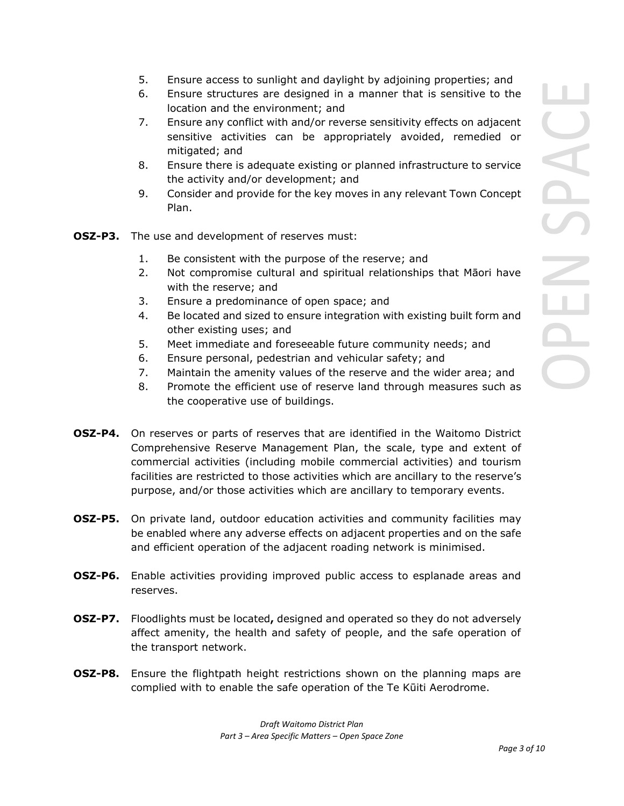- 5. Ensure access to sunlight and daylight by adjoining properties; and
- 6. Ensure structures are designed in a manner that is sensitive to the location and the environment; and
- 7. Ensure any conflict with and/or reverse sensitivity effects on adjacent sensitive activities can be appropriately avoided, remedied or mitigated; and
- 8. Ensure there is adequate existing or planned infrastructure to service the activity and/or development; and
- 9. Consider and provide for the key moves in any relevant Town Concept Plan.
- **OSZ-P3.** The use and development of reserves must:
	- 1. Be consistent with the purpose of the reserve; and
	- 2. Not compromise cultural and spiritual relationships that Māori have with the reserve; and
	- 3. Ensure a predominance of open space; and
	- 4. Be located and sized to ensure integration with existing built form and other existing uses; and
	- 5. Meet immediate and foreseeable future community needs; and
	- 6. Ensure personal, pedestrian and vehicular safety; and
	- 7. Maintain the amenity values of the reserve and the wider area; and
	- 8. Promote the efficient use of reserve land through measures such as the cooperative use of buildings.
- **OSZ-P4.** On reserves or parts of reserves that are identified in the Waitomo District Comprehensive Reserve Management Plan, the scale, type and extent of commercial activities (including mobile commercial activities) and tourism facilities are restricted to those activities which are ancillary to the reserve's purpose, and/or those activities which are ancillary to temporary events.
- **OSZ-P5.** On private land, outdoor education activities and community facilities may be enabled where any adverse effects on adjacent properties and on the safe and efficient operation of the adjacent roading network is minimised.
- **OSZ-P6.** Enable activities providing improved public access to esplanade areas and reserves.
- **OSZ-P7.** Floodlights must be located**,** designed and operated so they do not adversely affect amenity, the health and safety of people, and the safe operation of the transport network.
- **OSZ-P8.** Ensure the flightpath height restrictions shown on the planning maps are complied with to enable the safe operation of the Te Kūiti Aerodrome.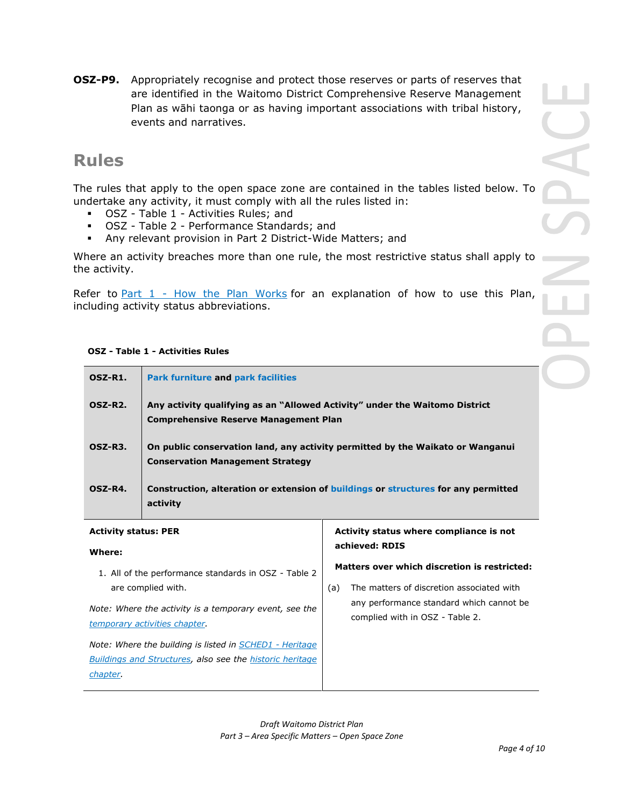**OSZ-P9.** Appropriately recognise and protect those reserves or parts of reserves that are identified in the Waitomo District Comprehensive Reserve Management Plan as wāhi taonga or as having important associations with tribal history, events and narratives.

# **Rules**

The rules that apply to the open space zone are contained in the tables listed below. To undertake any activity, it must comply with all the rules listed in:

- OSZ Table 1 Activities Rules; and
- OSZ Table 2 Performance Standards; and
- Any relevant provision in Part 2 District-Wide Matters; and

Where an activity breaches more than one rule, the most restrictive status shall apply to the activity.

Refer to Part  $1$  - How the Plan Works for an explanation of how to use this Plan, including activity status abbreviations.

## **OSZ - Table 1 - Activities Rules**

| OSZ-R1.                     | <b>Park furniture and park facilities</b>                                                                                   |                                              |
|-----------------------------|-----------------------------------------------------------------------------------------------------------------------------|----------------------------------------------|
| OSZ-R <sub>2</sub> .        | Any activity qualifying as an "Allowed Activity" under the Waitomo District<br><b>Comprehensive Reserve Management Plan</b> |                                              |
| OSZ-R3.                     | On public conservation land, any activity permitted by the Waikato or Wanganui<br><b>Conservation Management Strategy</b>   |                                              |
| OSZ-R4.                     | Construction, alteration or extension of buildings or structures for any permitted<br>activity                              |                                              |
| <b>Activity status: PER</b> | Activity status where compliance is not                                                                                     |                                              |
| Where:                      | achieved: RDIS                                                                                                              |                                              |
|                             |                                                                                                                             | Matters over which discretion is restricted: |

1. All of the performance standards in OSZ - Table 2 are complied with.

*Note: Where the activity is a temporary event, see the temporary activities chapter.*

*Note: Where the building is listed in SCHED1 - Heritage Buildings and Structures, also see the historic heritage chapter.*

## (a) The matters of discretion associated with any performance standard which cannot be complied with in OSZ - Table 2.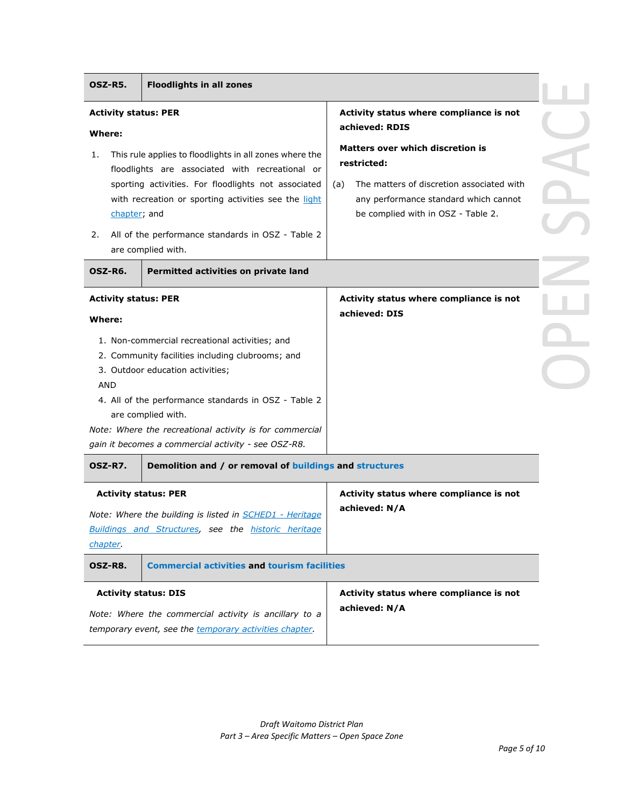| OSZ-R5.<br><b>Floodlights in all zones</b>                                                                                                                                                                                                                                                                                                                                                                                                                          |                                                                                                                                                                                                                                                 |
|---------------------------------------------------------------------------------------------------------------------------------------------------------------------------------------------------------------------------------------------------------------------------------------------------------------------------------------------------------------------------------------------------------------------------------------------------------------------|-------------------------------------------------------------------------------------------------------------------------------------------------------------------------------------------------------------------------------------------------|
| <b>Activity status: PER</b><br>Where:<br>This rule applies to floodlights in all zones where the<br>1.<br>floodlights are associated with recreational or<br>sporting activities. For floodlights not associated<br>with recreation or sporting activities see the light<br>chapter; and<br>All of the performance standards in OSZ - Table 2<br>2.<br>are complied with.                                                                                           | Activity status where compliance is not<br>achieved: RDIS<br>Matters over which discretion is<br>restricted:<br>The matters of discretion associated with<br>(a)<br>any performance standard which cannot<br>be complied with in OSZ - Table 2. |
| OSZ-R6.<br>Permitted activities on private land                                                                                                                                                                                                                                                                                                                                                                                                                     |                                                                                                                                                                                                                                                 |
| <b>Activity status: PER</b><br>Where:<br>1. Non-commercial recreational activities; and<br>2. Community facilities including clubrooms; and<br>3. Outdoor education activities;<br><b>AND</b><br>4. All of the performance standards in OSZ - Table 2<br>are complied with.<br>Note: Where the recreational activity is for commercial<br>gain it becomes a commercial activity - see OSZ-R8.<br>OSZ-R7.<br>Demolition and / or removal of buildings and structures | Activity status where compliance is not<br>achieved: DIS                                                                                                                                                                                        |
| <b>Activity status: PER</b><br>Note: Where the building is listed in <b>SCHED1</b> - Heritage<br>Buildings and Structures, see the historic heritage<br>chapter.<br><b>Commercial activities and tourism facilities</b><br>OSZ-R8.<br><b>Activity status: DIS</b>                                                                                                                                                                                                   | Activity status where compliance is not<br>achieved: N/A<br>Activity status where compliance is not                                                                                                                                             |
| Note: Where the commercial activity is ancillary to a<br>temporary event, see the temporary activities chapter.                                                                                                                                                                                                                                                                                                                                                     | achieved: N/A                                                                                                                                                                                                                                   |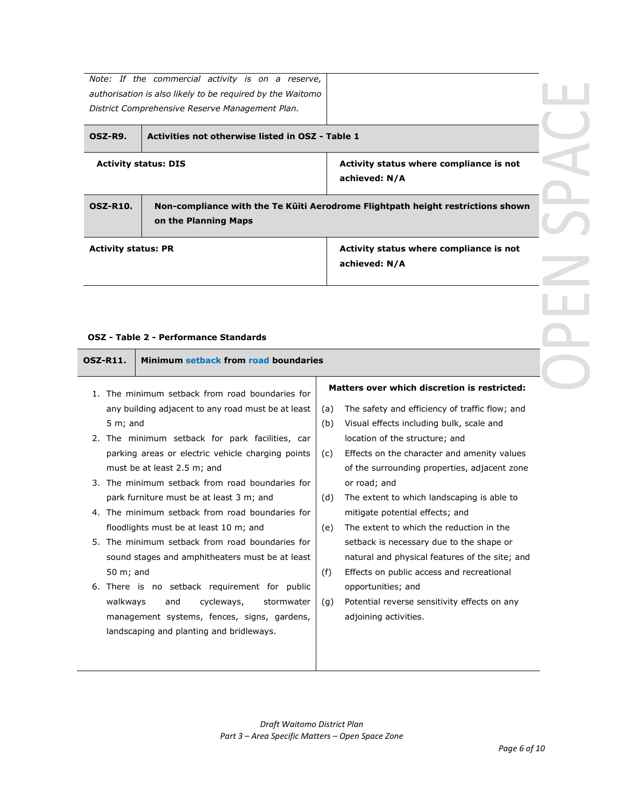|                             | Note: If the commercial activity is on a reserve,<br>authorisation is also likely to be required by the Waitomo<br>District Comprehensive Reserve Management Plan. |                                                          |  |
|-----------------------------|--------------------------------------------------------------------------------------------------------------------------------------------------------------------|----------------------------------------------------------|--|
| OSZ-R9.                     | Activities not otherwise listed in OSZ - Table 1                                                                                                                   |                                                          |  |
| <b>Activity status: DIS</b> |                                                                                                                                                                    | Activity status where compliance is not<br>achieved: N/A |  |
| <b>OSZ-R10.</b>             | Non-compliance with the Te Kūiti Aerodrome Flightpath height restrictions shown<br>on the Planning Maps                                                            |                                                          |  |
| <b>Activity status: PR</b>  |                                                                                                                                                                    | Activity status where compliance is not<br>achieved: N/A |  |

## **OSZ - Table 2 - Performance Standards**

|                 | OSZ - Table 2 - Performance Standards                                                                                                                                                                                                                                                                                                                                                                                                                                                                                                                                     |                                                                                                                                                                                                                                                                                                                                                                                                                                                                                                                                                                                                               |  |
|-----------------|---------------------------------------------------------------------------------------------------------------------------------------------------------------------------------------------------------------------------------------------------------------------------------------------------------------------------------------------------------------------------------------------------------------------------------------------------------------------------------------------------------------------------------------------------------------------------|---------------------------------------------------------------------------------------------------------------------------------------------------------------------------------------------------------------------------------------------------------------------------------------------------------------------------------------------------------------------------------------------------------------------------------------------------------------------------------------------------------------------------------------------------------------------------------------------------------------|--|
| <b>OSZ-R11.</b> | Minimum setback from road boundaries                                                                                                                                                                                                                                                                                                                                                                                                                                                                                                                                      |                                                                                                                                                                                                                                                                                                                                                                                                                                                                                                                                                                                                               |  |
|                 | 1. The minimum setback from road boundaries for<br>any building adjacent to any road must be at least<br>$5 m;$ and<br>2. The minimum setback for park facilities, car<br>parking areas or electric vehicle charging points<br>must be at least 2.5 m; and<br>3. The minimum setback from road boundaries for<br>park furniture must be at least 3 m; and<br>4. The minimum setback from road boundaries for<br>floodlights must be at least 10 m; and<br>5. The minimum setback from road boundaries for<br>sound stages and amphitheaters must be at least<br>50 m; and | Matters over which discretion is restricted:<br>The safety and efficiency of traffic flow; and<br>(a)<br>(b)<br>Visual effects including bulk, scale and<br>location of the structure; and<br>Effects on the character and amenity values<br>(c)<br>of the surrounding properties, adjacent zone<br>or road; and<br>The extent to which landscaping is able to<br>(d)<br>mitigate potential effects; and<br>The extent to which the reduction in the<br>(e)<br>setback is necessary due to the shape or<br>natural and physical features of the site; and<br>(f)<br>Effects on public access and recreational |  |
|                 | 6. There is no setback requirement for public<br>walkways<br>cycleways,<br>and<br>stormwater<br>management systems, fences, signs, gardens,<br>landscaping and planting and bridleways.                                                                                                                                                                                                                                                                                                                                                                                   | opportunities; and<br>Potential reverse sensitivity effects on any<br>(g)<br>adjoining activities.                                                                                                                                                                                                                                                                                                                                                                                                                                                                                                            |  |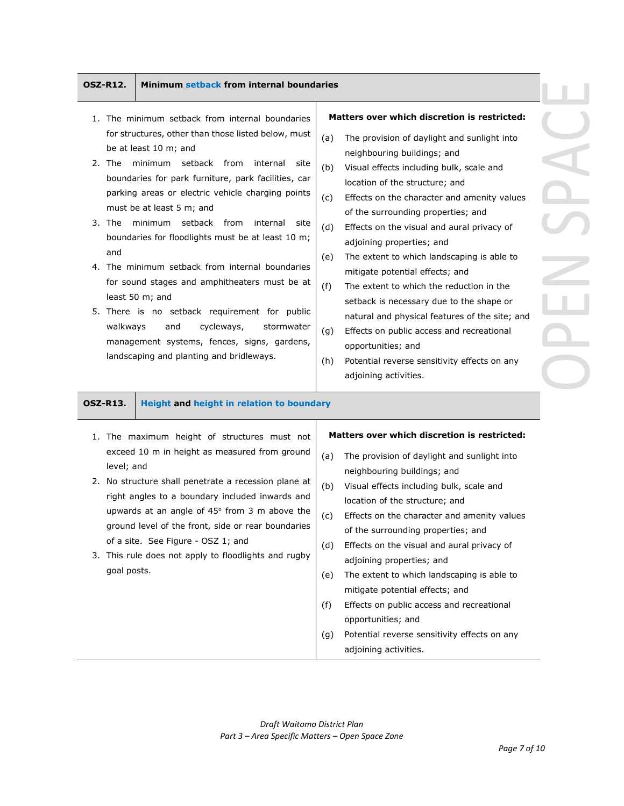## **OSZ-R12. Minimum setback from internal boundaries**

- 1. The minimum setback from internal boundaries for structures, other than those listed below, must be at least 10 m; and
- 2. The minimum setback from internal site boundaries for park furniture, park facilities, car parking areas or electric vehicle charging points must be at least 5 m; and
- 3. The minimum setback from internal site boundaries for floodlights must be at least 10 m; and
- 4. The minimum setback from internal boundaries for sound stages and amphitheaters must be at least 50 m; and
- 5. There is no setback requirement for public walkways and cycleways, stormwater management systems, fences, signs, gardens, landscaping and planting and bridleways.

## **Matters over which discretion is restricted:**

- (a) The provision of daylight and sunlight into neighbouring buildings; and
- (b) Visual effects including bulk, scale and location of the structure; and
- (c) Effects on the character and amenity values of the surrounding properties; and
- (d) Effects on the visual and aural privacy of adjoining properties; and
- (e) The extent to which landscaping is able to mitigate potential effects; and
- (f) The extent to which the reduction in the setback is necessary due to the shape or natural and physical features of the site; and
- (g) Effects on public access and recreational opportunities; and
- (h) Potential reverse sensitivity effects on any adjoining activities.

**OSZ-R13. Height and height in relation to boundary**

- 1. The maximum height of structures must not exceed 10 m in height as measured from ground level; and
- 2. No structure shall penetrate a recession plane at right angles to a boundary included inwards and upwards at an angle of  $45^\circ$  from 3 m above the ground level of the front, side or rear boundaries of a site. See Figure - OSZ 1; and
- 3. This rule does not apply to floodlights and rugby goal posts.

## **Matters over which discretion is restricted:**

- (a) The provision of daylight and sunlight into neighbouring buildings; and
- (b) Visual effects including bulk, scale and location of the structure; and
- (c) Effects on the character and amenity values of the surrounding properties; and
- (d) Effects on the visual and aural privacy of adjoining properties; and
- (e) The extent to which landscaping is able to mitigate potential effects; and
- (f) Effects on public access and recreational opportunities; and
- (g) Potential reverse sensitivity effects on any adjoining activities.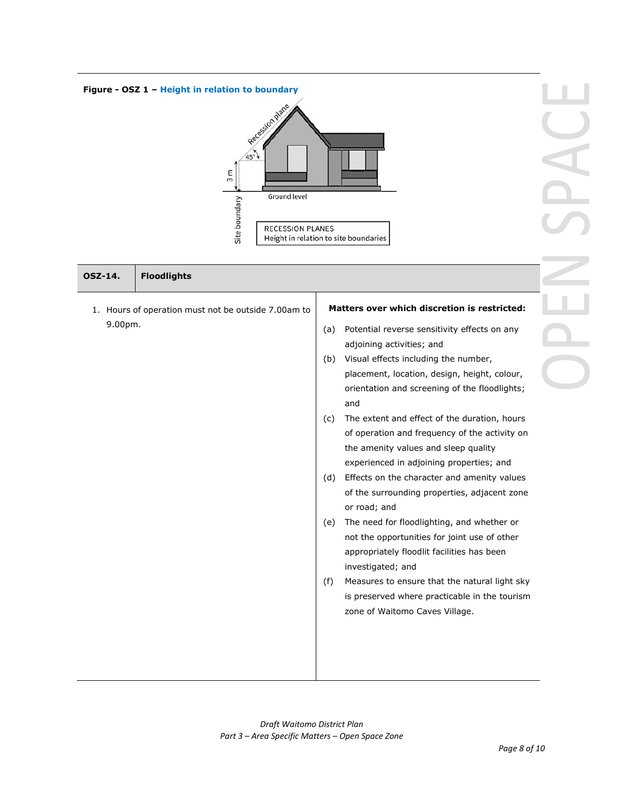

| <b>Floodlights</b><br><b>OSZ-14.</b>                |                                                                                                                                                                                                                                                                                                                                                 |
|-----------------------------------------------------|-------------------------------------------------------------------------------------------------------------------------------------------------------------------------------------------------------------------------------------------------------------------------------------------------------------------------------------------------|
| 1. Hours of operation must not be outside 7.00am to | Matters over which discretion is restricted:                                                                                                                                                                                                                                                                                                    |
| 9.00pm.                                             | Potential reverse sensitivity effects on any<br>(a)<br>adjoining activities; and<br>Visual effects including the number,<br>(b)<br>placement, location, design, height, colour,<br>orientation and screening of the floodlights;<br>and<br>The extent and effect of the duration, hours<br>(c)<br>of operation and frequency of the activity on |
|                                                     | the amenity values and sleep quality<br>experienced in adjoining properties; and<br>Effects on the character and amenity values<br>(d)<br>of the surrounding properties, adjacent zone<br>or road; and                                                                                                                                          |
|                                                     | The need for floodlighting, and whether or<br>(e)<br>not the opportunities for joint use of other<br>appropriately floodlit facilities has been<br>investigated; and                                                                                                                                                                            |
|                                                     | Measures to ensure that the natural light sky<br>(f)<br>is preserved where practicable in the tourism<br>zone of Waitomo Caves Village.                                                                                                                                                                                                         |
|                                                     |                                                                                                                                                                                                                                                                                                                                                 |

PACE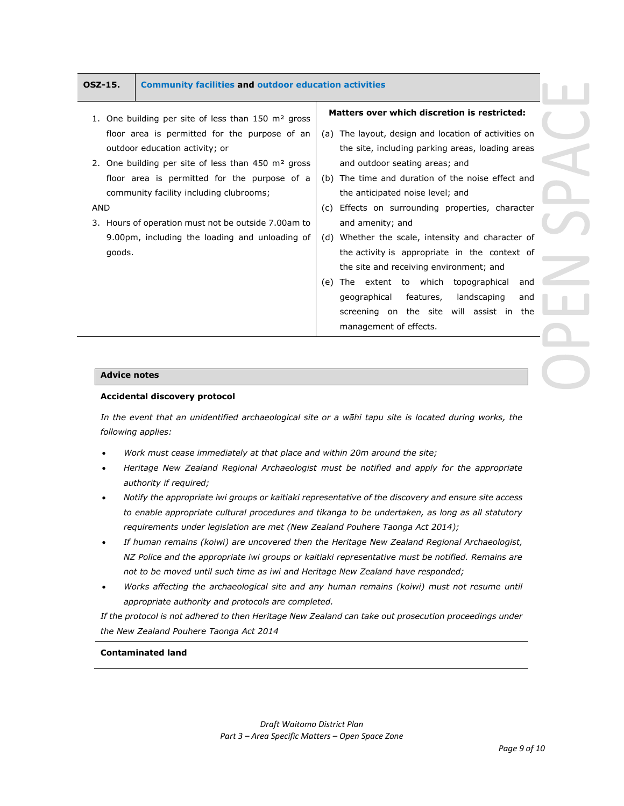## **OSZ-15. Community facilities and outdoor education activities**

- 1. One building per site of less than 150 m<sup>2</sup> gross floor area is permitted for the purpose of an outdoor education activity; or
- 2. One building per site of less than 450 m<sup>2</sup> gross floor area is permitted for the purpose of a community facility including clubrooms;

## AND

3. Hours of operation must not be outside 7.00am to 9.00pm, including the loading and unloading of goods.

## **Matters over which discretion is restricted:**

- (a) The layout, design and location of activities on the site, including parking areas, loading areas and outdoor seating areas; and
- (b) The time and duration of the noise effect and the anticipated noise level; and
- (c) Effects on surrounding properties, character and amenity; and
- (d) Whether the scale, intensity and character of the activity is appropriate in the context of the site and receiving environment; and
- (e) The extent to which topographical and geographical features, landscaping and screening on the site will assist in the management of effects.

## **Advice notes**

## **Accidental discovery protocol**

*In the event that an unidentified archaeological site or a wāhi tapu site is located during works, the following applies:*

- *Work must cease immediately at that place and within 20m around the site;*
- *Heritage New Zealand Regional Archaeologist must be notified and apply for the appropriate authority if required;*
- *Notify the appropriate iwi groups or kaitiaki representative of the discovery and ensure site access to enable appropriate cultural procedures and tikanga to be undertaken, as long as all statutory requirements under legislation are met (New Zealand Pouhere Taonga Act 2014);*
- *If human remains (koiwi) are uncovered then the Heritage New Zealand Regional Archaeologist, NZ Police and the appropriate iwi groups or kaitiaki representative must be notified. Remains are not to be moved until such time as iwi and Heritage New Zealand have responded;*
- *Works affecting the archaeological site and any human remains (koiwi) must not resume until appropriate authority and protocols are completed.*

*If the protocol is not adhered to then Heritage New Zealand can take out prosecution proceedings under the New Zealand Pouhere Taonga Act 2014*

## **Contaminated land**